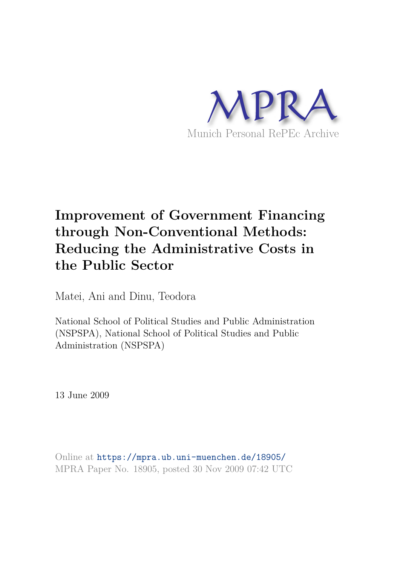

# **Improvement of Government Financing through Non-Conventional Methods: Reducing the Administrative Costs in the Public Sector**

Matei, Ani and Dinu, Teodora

National School of Political Studies and Public Administration (NSPSPA), National School of Political Studies and Public Administration (NSPSPA)

13 June 2009

Online at https://mpra.ub.uni-muenchen.de/18905/ MPRA Paper No. 18905, posted 30 Nov 2009 07:42 UTC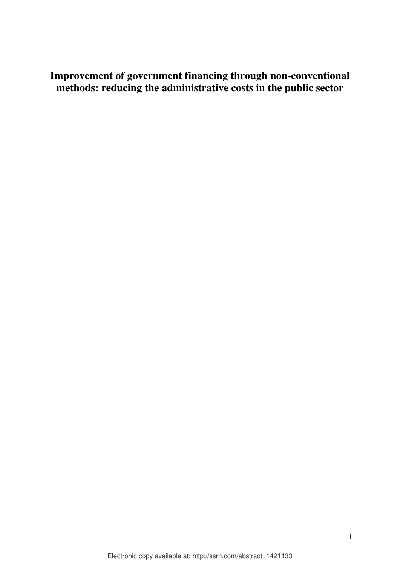**Improvement of government financing through non-conventional methods: reducing the administrative costs in the public sector**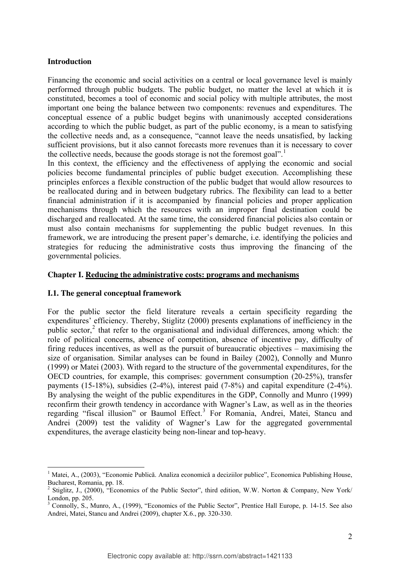#### **Introduction**

Financing the economic and social activities on a central or local governance level is mainly performed through public budgets. The public budget, no matter the level at which it is constituted, becomes a tool of economic and social policy with multiple attributes, the most important one being the balance between two components: revenues and expenditures. The conceptual essence of a public budget begins with unanimously accepted considerations according to which the public budget, as part of the public economy, is a mean to satisfying the collective needs and, as a consequence, "cannot leave the needs unsatisfied, by lacking sufficient provisions, but it also cannot forecasts more revenues than it is necessary to cover the collective needs, because the goods storage is not the foremost goal".<sup>1</sup>

In this context, the efficiency and the effectiveness of applying the economic and social policies become fundamental principles of public budget execution. Accomplishing these principles enforces a flexible construction of the public budget that would allow resources to be reallocated during and in between budgetary rubrics. The flexibility can lead to a better financial administration if it is accompanied by financial policies and proper application mechanisms through which the resources with an improper final destination could be discharged and reallocated. At the same time, the considered financial policies also contain or must also contain mechanisms for supplementing the public budget revenues. In this framework, we are introducing the present paper's demarche, i.e. identifying the policies and strategies for reducing the administrative costs thus improving the financing of the governmental policies.

#### **Chapter I. Reducing the administrative costs: programs and mechanisms**

#### **I.1. The general conceptual framework**

<u>.</u>

For the public sector the field literature reveals a certain specificity regarding the expenditures' efficiency. Thereby, Stiglitz (2000) presents explanations of inefficiency in the public sector,<sup>2</sup> that refer to the organisational and individual differences, among which: the role of political concerns, absence of competition, absence of incentive pay, difficulty of firing reduces incentives, as well as the pursuit of bureaucratic objectives – maximising the size of organisation. Similar analyses can be found in Bailey (2002), Connolly and Munro (1999) or Matei (2003). With regard to the structure of the governmental expenditures, for the OECD countries, for example, this comprises: government consumption (20-25%), transfer payments (15-18%), subsidies (2-4%), interest paid (7-8%) and capital expenditure (2-4%). By analysing the weight of the public expenditures in the GDP, Connolly and Munro (1999) reconfirm their growth tendency in accordance with Wagner's Law, as well as in the theories regarding "fiscal illusion" or Baumol Effect.<sup>3</sup> For Romania, Andrei, Matei, Stancu and Andrei (2009) test the validity of Wagner's Law for the aggregated governmental expenditures, the average elasticity being non-linear and top-heavy.

<sup>&</sup>lt;sup>1</sup> Matei, A., (2003), "Economie Publică. Analiza economică a deciziilor publice", Economica Publishing House, Bucharest, Romania, pp. 18.

<sup>2</sup> Stiglitz, J., (2000), "Economics of the Public Sector", third edition, W.W. Norton & Company, New York/ London, pp. 205.

<sup>&</sup>lt;sup>3</sup> Connolly, S., Munro, A., (1999), "Economics of the Public Sector", Prentice Hall Europe, p. 14-15. See also Andrei, Matei, Stancu and Andrei (2009), chapter X.6., pp. 320-330.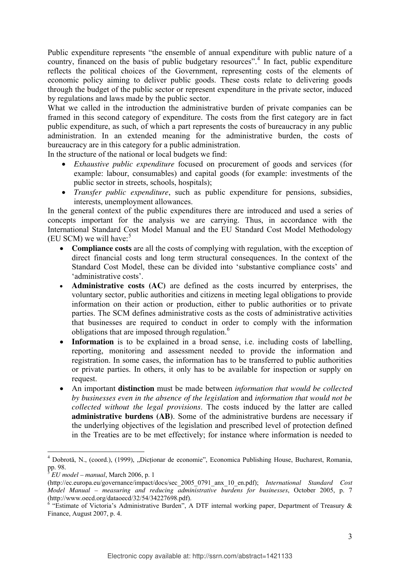Public expenditure represents "the ensemble of annual expenditure with public nature of a country, financed on the basis of public budgetary resources".<sup>4</sup> In fact, public expenditure reflects the political choices of the Government, representing costs of the elements of economic policy aiming to deliver public goods. These costs relate to delivering goods through the budget of the public sector or represent expenditure in the private sector, induced by regulations and laws made by the public sector.

What we called in the introduction the administrative burden of private companies can be framed in this second category of expenditure. The costs from the first category are in fact public expenditure, as such, of which a part represents the costs of bureaucracy in any public administration. In an extended meaning for the administrative burden, the costs of bureaucracy are in this category for a public administration.

In the structure of the national or local budgets we find:

- *Exhaustive public expenditure* focused on procurement of goods and services (for example: labour, consumables) and capital goods (for example: investments of the public sector in streets, schools, hospitals);
- *Transfer public expenditure*, such as public expenditure for pensions, subsidies, interests, unemployment allowances.

In the general context of the public expenditures there are introduced and used a series of concepts important for the analysis we are carrying. Thus, in accordance with the International Standard Cost Model Manual and the EU Standard Cost Model Methodology (EU SCM) we will have: $5$ 

- **Compliance costs** are all the costs of complying with regulation, with the exception of direct financial costs and long term structural consequences. In the context of the Standard Cost Model, these can be divided into 'substantive compliance costs' and 'administrative costs'.
- **Administrative costs (AC)** are defined as the costs incurred by enterprises, the voluntary sector, public authorities and citizens in meeting legal obligations to provide information on their action or production, either to public authorities or to private parties. The SCM defines administrative costs as the costs of administrative activities that businesses are required to conduct in order to comply with the information obligations that are imposed through regulation.<sup>6</sup>
- **Information** is to be explained in a broad sense, i.e. including costs of labelling. reporting, monitoring and assessment needed to provide the information and registration. In some cases, the information has to be transferred to public authorities or private parties. In others, it only has to be available for inspection or supply on request.
- An important **distinction** must be made between *information that would be collected by businesses even in the absence of the legislation* and *information that would not be collected without the legal provisions*. The costs induced by the latter are called **administrative burdens (AB)**. Some of the administrative burdens are necessary if the underlying objectives of the legislation and prescribed level of protection defined in the Treaties are to be met effectively; for instance where information is needed to

-

<sup>&</sup>lt;sup>4</sup> Dobrotă, N., (coord.), (1999), "Dicționar de economie", Economica Publishing House, Bucharest, Romania, pp. 98.

<sup>5</sup> *EU model – manual*, March 2006, p. 1

<sup>(</sup>http://ec.europa.eu/governance/impact/docs/sec\_2005\_0791\_anx\_10\_en.pdf); *International Standard Cost Model Manual – measuring and reducing administrative burdens for businesses*, October 2005, p. 7 (http://www.oecd.org/dataoecd/32/54/34227698.pdf).

 $6$  "Estimate of Victoria's Administrative Burden", A DTF internal working paper, Department of Treasury  $\&$ Finance, August 2007, p. 4.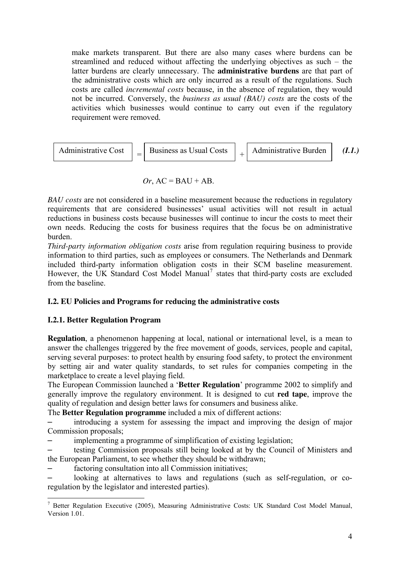make markets transparent. But there are also many cases where burdens can be streamlined and reduced without affecting the underlying objectives as such – the latter burdens are clearly unnecessary. The **administrative burdens** are that part of the administrative costs which are only incurred as a result of the regulations. Such costs are called *incremental costs* because, in the absence of regulation, they would not be incurred. Conversely, the *business as usual (BAU) costs* are the costs of the activities which businesses would continue to carry out even if the regulatory requirement were removed.

$$
[Administrative Cost] = [Business as Usual Costs] + [Administrative Burden] (I.I.)
$$

# $Or, AC = BAU + AB$ .

*BAU costs* are not considered in a baseline measurement because the reductions in regulatory requirements that are considered businesses' usual activities will not result in actual reductions in business costs because businesses will continue to incur the costs to meet their own needs. Reducing the costs for business requires that the focus be on administrative burden.

*Third-party information obligation costs* arise from regulation requiring business to provide information to third parties, such as employees or consumers. The Netherlands and Denmark included third-party information obligation costs in their SCM baseline measurement. However, the UK Standard Cost Model Manual<sup>7</sup> states that third-party costs are excluded from the baseline.

# **I.2. EU Policies and Programs for reducing the administrative costs**

# **I.2.1. Better Regulation Program**

**Regulation**, a phenomenon happening at local, national or international level, is a mean to answer the challenges triggered by the free movement of goods, services, people and capital, serving several purposes: to protect health by ensuring food safety, to protect the environment by setting air and water quality standards, to set rules for companies competing in the marketplace to create a level playing field.

The European Commission launched a '**Better Regulation**' programme 2002 to simplify and generally improve the regulatory environment. It is designed to cut **red tape**, improve the quality of regulation and design better laws for consumers and business alike.

The **Better Regulation programme** included a mix of different actions:

– introducing a system for assessing the impact and improving the design of major Commission proposals;

– implementing a programme of simplification of existing legislation;

– testing Commission proposals still being looked at by the Council of Ministers and the European Parliament, to see whether they should be withdrawn;

factoring consultation into all Commission initiatives;

– looking at alternatives to laws and regulations (such as self-regulation, or coregulation by the legislator and interested parties).

<sup>-</sup><sup>7</sup> Better Regulation Executive (2005), Measuring Administrative Costs: UK Standard Cost Model Manual, Version 1.01.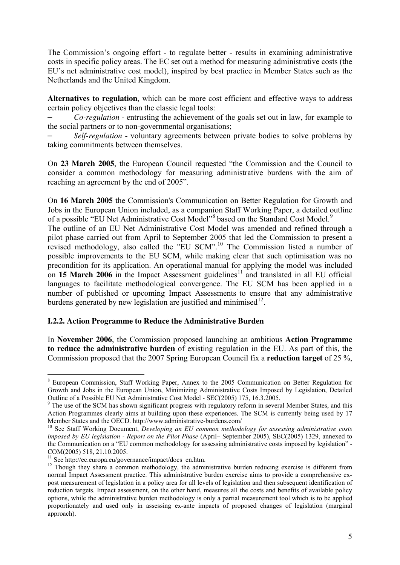The Commission's ongoing effort - to regulate better - results in examining administrative costs in specific policy areas. The EC set out a method for measuring administrative costs (the EU's net administrative cost model), inspired by best practice in Member States such as the Netherlands and the United Kingdom.

**Alternatives to regulation**, which can be more cost efficient and effective ways to address certain policy objectives than the classic legal tools:

– *Co-regulation* - entrusting the achievement of the goals set out in law, for example to the social partners or to non-governmental organisations;

– *Self-regulation* - voluntary agreements between private bodies to solve problems by taking commitments between themselves.

On **23 March 2005**, the European Council requested "the Commission and the Council to consider a common methodology for measuring administrative burdens with the aim of reaching an agreement by the end of 2005".

On **16 March 2005** the Commission's Communication on Better Regulation for Growth and Jobs in the European Union included, as a companion Staff Working Paper, a detailed outline of a possible "EU Net Administrative Cost Model"<sup>8</sup> based on the Standard Cost Model.<sup>9</sup>

The outline of an EU Net Administrative Cost Model was amended and refined through a pilot phase carried out from April to September 2005 that led the Commission to present a revised methodology, also called the "EU SCM".<sup>10</sup> The Commission listed a number of possible improvements to the EU SCM, while making clear that such optimisation was no precondition for its application. An operational manual for applying the model was included on **15 March 2006** in the Impact Assessment guidelines<sup>11</sup> and translated in all EU official languages to facilitate methodological convergence. The EU SCM has been applied in a number of published or upcoming Impact Assessments to ensure that any administrative burdens generated by new legislation are justified and minimised $^{12}$ .

## **I.2.2. Action Programme to Reduce the Administrative Burden**

In **November 2006**, the Commission proposed launching an ambitious **Action Programme to reduce the administrative burden** of existing regulation in the EU. As part of this, the Commission proposed that the 2007 Spring European Council fix a **reduction target** of 25 %,

<sup>&</sup>lt;sup>8</sup> European Commission, Staff Working Paper, Annex to the 2005 Communication on Better Regulation for Growth and Jobs in the European Union, Minimizing Administrative Costs Imposed by Legislation, Detailed Outline of a Possible EU Net Administrative Cost Model - SEC(2005) 175, 16.3.2005.

<sup>&</sup>lt;sup>9</sup> The use of the SCM has shown significant progress with regulatory reform in several Member States, and this Action Programmes clearly aims at building upon these experiences. The SCM is currently being used by 17 Member States and the OECD. http://www.administrative-burdens.com/

<sup>&</sup>lt;sup>10</sup> See Staff Working Document, *Developing an EU common methodology for assessing administrative costs imposed by EU legislation - Report on the Pilot Phase* (April– September 2005), SEC(2005) 1329, annexed to the Communication on a "EU common methodology for assessing administrative costs imposed by legislation" - COM(2005) 518, 21.10.2005.

<sup>&</sup>lt;sup>11</sup> See http://ec.europa.eu/governance/impact/docs\_en.htm.

<sup>&</sup>lt;sup>12</sup> Though they share a common methodology, the administrative burden reducing exercise is different from normal Impact Assessment practice. This administrative burden exercise aims to provide a comprehensive expost measurement of legislation in a policy area for all levels of legislation and then subsequent identification of reduction targets. Impact assessment, on the other hand, measures all the costs and benefits of available policy options, while the administrative burden methodology is only a partial measurement tool which is to be applied proportionately and used only in assessing ex-ante impacts of proposed changes of legislation (marginal approach).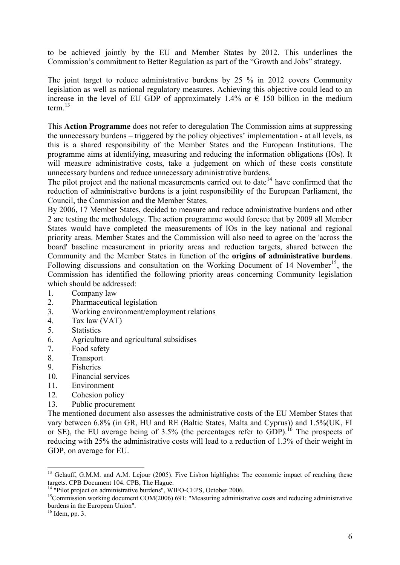to be achieved jointly by the EU and Member States by 2012. This underlines the Commission's commitment to Better Regulation as part of the "Growth and Jobs" strategy.

The joint target to reduce administrative burdens by 25 % in 2012 covers Community legislation as well as national regulatory measures. Achieving this objective could lead to an increase in the level of EU GDP of approximately 1.4% or  $\epsilon$  150 billion in the medium term. $^{13}$ 

This **Action Programme** does not refer to deregulation The Commission aims at suppressing the unnecessary burdens – triggered by the policy objectives' implementation - at all levels, as this is a shared responsibility of the Member States and the European Institutions. The programme aims at identifying, measuring and reducing the information obligations (IOs). It will measure administrative costs, take a judgement on which of these costs constitute unnecessary burdens and reduce unnecessary administrative burdens.

The pilot project and the national measurements carried out to date  $14$  have confirmed that the reduction of administrative burdens is a joint responsibility of the European Parliament, the Council, the Commission and the Member States.

By 2006, 17 Member States, decided to measure and reduce administrative burdens and other 2 are testing the methodology. The action programme would foresee that by 2009 all Member States would have completed the measurements of IOs in the key national and regional priority areas. Member States and the Commission will also need to agree on the 'across the board' baseline measurement in priority areas and reduction targets, shared between the Community and the Member States in function of the **origins of administrative burdens**. Following discussions and consultation on the Working Document of  $14$  November<sup>15</sup>, the Commission has identified the following priority areas concerning Community legislation which should be addressed:

- 1. Company law
- 2. Pharmaceutical legislation
- 3. Working environment/employment relations
- 4. Tax law (VAT)
- 5. Statistics
- 6. Agriculture and agricultural subsidises
- 7. Food safety
- 8. Transport
- 9. Fisheries
- 10. Financial services
- 11. Environment
- 12. Cohesion policy
- 13. Public procurement

The mentioned document also assesses the administrative costs of the EU Member States that vary between 6.8% (in GR, HU and RE (Baltic States, Malta and Cyprus)) and 1.5%(UK, FI or SE), the EU average being of  $3.5\%$  (the percentages refer to GDP).<sup>16</sup> The prospects of reducing with 25% the administrative costs will lead to a reduction of 1.3% of their weight in GDP, on average for EU.

<u>.</u>

<sup>&</sup>lt;sup>13</sup> Gelauff, G.M.M. and A.M. Lejour (2005). Five Lisbon highlights: The economic impact of reaching these targets. CPB Document 104. CPB, The Hague.

<sup>&</sup>lt;sup>14</sup> "Pilot project on administrative burdens", WIFO-CEPS, October 2006.

<sup>&</sup>lt;sup>15</sup>Commission working document COM(2006) 691: "Measuring administrative costs and reducing administrative burdens in the European Union".

 $16$  Idem, pp. 3.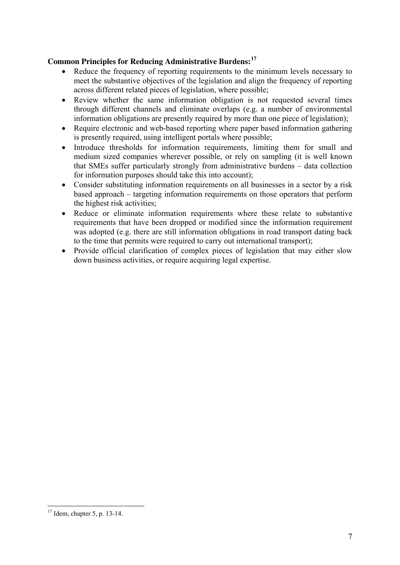# **Common Principles for Reducing Administrative Burdens:<sup>17</sup>**

- Reduce the frequency of reporting requirements to the minimum levels necessary to meet the substantive objectives of the legislation and align the frequency of reporting across different related pieces of legislation, where possible;
- Review whether the same information obligation is not requested several times through different channels and eliminate overlaps (e.g. a number of environmental information obligations are presently required by more than one piece of legislation);
- Require electronic and web-based reporting where paper based information gathering is presently required, using intelligent portals where possible;
- Introduce thresholds for information requirements, limiting them for small and medium sized companies wherever possible, or rely on sampling (it is well known that SMEs suffer particularly strongly from administrative burdens – data collection for information purposes should take this into account);
- Consider substituting information requirements on all businesses in a sector by a risk based approach – targeting information requirements on those operators that perform the highest risk activities;
- Reduce or eliminate information requirements where these relate to substantive requirements that have been dropped or modified since the information requirement was adopted (e.g. there are still information obligations in road transport dating back to the time that permits were required to carry out international transport);
- Provide official clarification of complex pieces of legislation that may either slow down business activities, or require acquiring legal expertise.

<u>.</u>

 $17$  Idem, chapter 5, p. 13-14.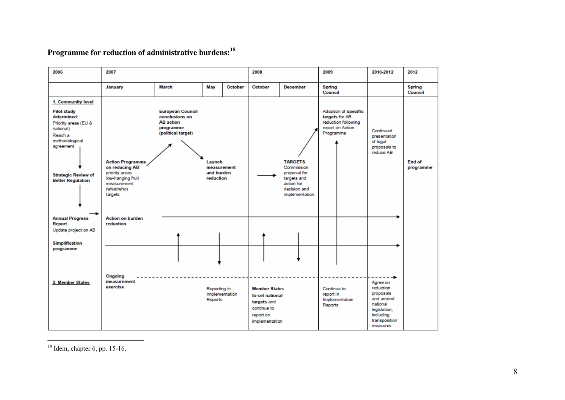# **Programme for reduction of administrative burdens:<sup>18</sup>**

| 2006                                                                                                                                                                                             | 2007                                                                                                                     |                                                                                                  |                                                  | 2008           |                                                                                                      | 2009                                                                                                        |                                     | 2010-2012                                                                         | 2012                                                                                                                  |                          |
|--------------------------------------------------------------------------------------------------------------------------------------------------------------------------------------------------|--------------------------------------------------------------------------------------------------------------------------|--------------------------------------------------------------------------------------------------|--------------------------------------------------|----------------|------------------------------------------------------------------------------------------------------|-------------------------------------------------------------------------------------------------------------|-------------------------------------|-----------------------------------------------------------------------------------|-----------------------------------------------------------------------------------------------------------------------|--------------------------|
|                                                                                                                                                                                                  | January                                                                                                                  | March                                                                                            | May                                              | October        | October                                                                                              | <b>December</b>                                                                                             | <b>Spring</b><br>Council            |                                                                                   |                                                                                                                       | <b>Spring</b><br>Council |
| 1. Community level<br><b>Pilot study</b><br>determined:<br>Priority areas (EU &<br>national)<br>Reach a<br>methodological<br>agreement<br><b>Strategic Review of</b><br><b>Better Regulation</b> | <b>Action Programme</b><br>on reducing AB<br>priority areas<br>low-hanging fruit<br>measurement<br>(what/who)<br>targets | <b>European Council</b><br>conclusions on<br><b>AB</b> action<br>programme<br>(political target) | Launch<br>measurement<br>and burden<br>reduction |                |                                                                                                      | <b>TARGETS</b><br>Commission<br>proposal for<br>targets and<br>action for<br>decision and<br>implementation | Programme                           | Adoption of specific<br>targets for AB<br>reduction following<br>report on Action | Continued<br>presentation<br>of legal<br>proposals to<br>reduce AB                                                    | End of<br>programme      |
| <b>Annual Progress</b><br>Report<br>Update project on AB                                                                                                                                         | <b>Action on burden</b><br>reduction                                                                                     |                                                                                                  |                                                  |                |                                                                                                      |                                                                                                             |                                     |                                                                                   |                                                                                                                       |                          |
| <b>Simplification</b><br>programme                                                                                                                                                               |                                                                                                                          |                                                                                                  |                                                  |                |                                                                                                      |                                                                                                             |                                     |                                                                                   |                                                                                                                       |                          |
| 2. Member States                                                                                                                                                                                 | Ongoing<br>measurement<br>exercise                                                                                       |                                                                                                  | Reporting in<br>Reports                          | Implementation | <b>Member States</b><br>to set national<br>targets and<br>continue to<br>report on<br>implementation |                                                                                                             | Continue to<br>report in<br>Reports | Implementation                                                                    | Agree on<br>reduction<br>proposals<br>and amend<br>national<br>legislation,<br>including<br>transposition<br>measures |                          |

 $\overline{a}$  $18$  Idem, chapter 6, pp. 15-16.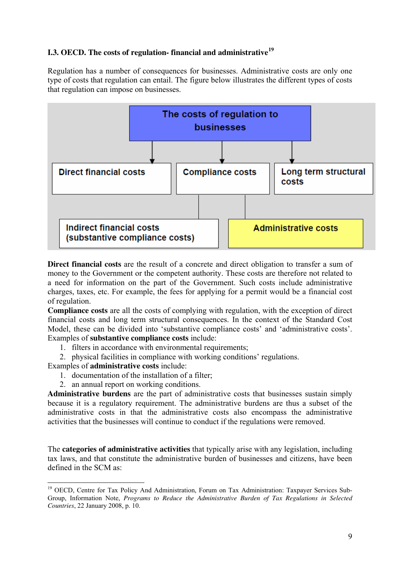# **I.3. OECD. The costs of regulation- financial and administrative<sup>19</sup>**

Regulation has a number of consequences for businesses. Administrative costs are only one type of costs that regulation can entail. The figure below illustrates the different types of costs that regulation can impose on businesses.



**Direct financial costs** are the result of a concrete and direct obligation to transfer a sum of money to the Government or the competent authority. These costs are therefore not related to a need for information on the part of the Government. Such costs include administrative charges, taxes, etc. For example, the fees for applying for a permit would be a financial cost of regulation.

**Compliance costs** are all the costs of complying with regulation, with the exception of direct financial costs and long term structural consequences. In the context of the Standard Cost Model, these can be divided into 'substantive compliance costs' and 'administrative costs'. Examples of **substantive compliance costs** include:

- 1. filters in accordance with environmental requirements;
- 2. physical facilities in compliance with working conditions' regulations.

Examples of **administrative costs** include:

- 1. documentation of the installation of a filter;
- 2. an annual report on working conditions.

**Administrative burdens** are the part of administrative costs that businesses sustain simply because it is a regulatory requirement. The administrative burdens are thus a subset of the administrative costs in that the administrative costs also encompass the administrative activities that the businesses will continue to conduct if the regulations were removed.

The **categories of administrative activities** that typically arise with any legislation, including tax laws, and that constitute the administrative burden of businesses and citizens, have been defined in the SCM as:

<sup>&</sup>lt;u>.</u> <sup>19</sup> OECD, Centre for Tax Policy And Administration, Forum on Tax Administration: Taxpayer Services Sub-Group, Information Note, *Programs to Reduce the Administrative Burden of Tax Regulations in Selected Countries*, 22 January 2008, p. 10.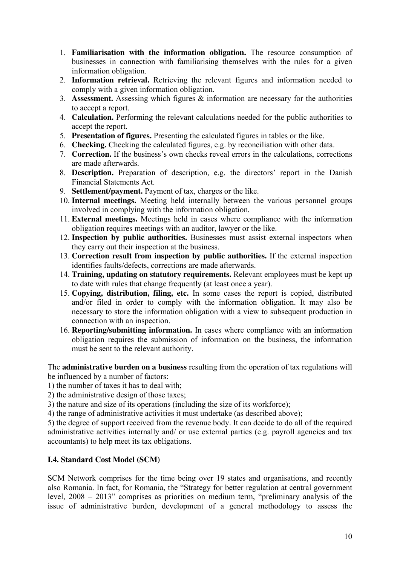- 1. **Familiarisation with the information obligation.** The resource consumption of businesses in connection with familiarising themselves with the rules for a given information obligation.
- 2. **Information retrieval.** Retrieving the relevant figures and information needed to comply with a given information obligation.
- 3. **Assessment.** Assessing which figures & information are necessary for the authorities to accept a report.
- 4. **Calculation.** Performing the relevant calculations needed for the public authorities to accept the report.
- 5. **Presentation of figures.** Presenting the calculated figures in tables or the like.
- 6. **Checking.** Checking the calculated figures, e.g. by reconciliation with other data.
- 7. **Correction.** If the business's own checks reveal errors in the calculations, corrections are made afterwards.
- 8. **Description.** Preparation of description, e.g. the directors' report in the Danish Financial Statements Act.
- 9. **Settlement/payment.** Payment of tax, charges or the like.
- 10. **Internal meetings.** Meeting held internally between the various personnel groups involved in complying with the information obligation.
- 11. **External meetings.** Meetings held in cases where compliance with the information obligation requires meetings with an auditor, lawyer or the like.
- 12. **Inspection by public authorities.** Businesses must assist external inspectors when they carry out their inspection at the business.
- 13. **Correction result from inspection by public authorities.** If the external inspection identifies faults/defects, corrections are made afterwards.
- 14. **Training, updating on statutory requirements.** Relevant employees must be kept up to date with rules that change frequently (at least once a year).
- 15. **Copying, distribution, filing, etc.** In some cases the report is copied, distributed and/or filed in order to comply with the information obligation. It may also be necessary to store the information obligation with a view to subsequent production in connection with an inspection.
- 16. **Reporting/submitting information.** In cases where compliance with an information obligation requires the submission of information on the business, the information must be sent to the relevant authority.

The **administrative burden on a business** resulting from the operation of tax regulations will be influenced by a number of factors:

1) the number of taxes it has to deal with;

2) the administrative design of those taxes;

3) the nature and size of its operations (including the size of its workforce);

4) the range of administrative activities it must undertake (as described above);

5) the degree of support received from the revenue body. It can decide to do all of the required administrative activities internally and/ or use external parties (e.g. payroll agencies and tax accountants) to help meet its tax obligations.

# **I.4. Standard Cost Model (SCM)**

SCM Network comprises for the time being over 19 states and organisations, and recently also Romania. In fact, for Romania, the "Strategy for better regulation at central government level, 2008 – 2013" comprises as priorities on medium term, "preliminary analysis of the issue of administrative burden, development of a general methodology to assess the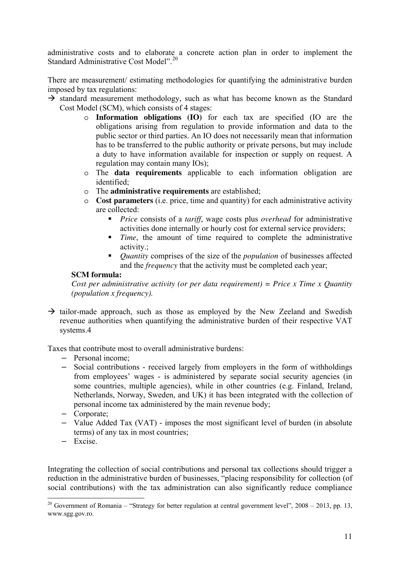administrative costs and to elaborate a concrete action plan in order to implement the Standard Administrative Cost Model".<sup>20</sup>

There are measurement/ estimating methodologies for quantifying the administrative burden imposed by tax regulations:

- $\rightarrow$  standard measurement methodology, such as what has become known as the Standard Cost Model (SCM), which consists of 4 stages:
	- o **Information obligations (IO)** for each tax are specified (IO are the obligations arising from regulation to provide information and data to the public sector or third parties. An IO does not necessarily mean that information has to be transferred to the public authority or private persons, but may include a duty to have information available for inspection or supply on request. A regulation may contain many IOs);
	- o The **data requirements** applicable to each information obligation are identified;
	- o The **administrative requirements** are established;
	- o **Cost parameters** (i.e. price, time and quantity) for each administrative activity are collected:
		- *Price* consists of a *tariff*, wage costs plus *overhead* for administrative activities done internally or hourly cost for external service providers;
		- **Time**, the amount of time required to complete the administrative activity.;
		- *Quantity* comprises of the size of the *population* of businesses affected and the *frequency* that the activity must be completed each year;

## **SCM formula:**

*Cost per administrative activity (or per data requirement) = Price x Time x Quantity (population x frequency).* 

 $\rightarrow$  tailor-made approach, such as those as employed by the New Zeeland and Swedish revenue authorities when quantifying the administrative burden of their respective VAT systems.4

Taxes that contribute most to overall administrative burdens:

- Personal income;
- Social contributions received largely from employers in the form of withholdings from employees' wages - is administered by separate social security agencies (in some countries, multiple agencies), while in other countries (e.g. Finland, Ireland, Netherlands, Norway, Sweden, and UK) it has been integrated with the collection of personal income tax administered by the main revenue body;
- Corporate;
- Value Added Tax (VAT) imposes the most significant level of burden (in absolute terms) of any tax in most countries;
- Excise.

Integrating the collection of social contributions and personal tax collections should trigger a reduction in the administrative burden of businesses, "placing responsibility for collection (of social contributions) with the tax administration can also significantly reduce compliance

<sup>-</sup><sup>20</sup> Government of Romania – "Strategy for better regulation at central government level",  $2008 - 2013$ , pp. 13, www.sgg.gov.ro.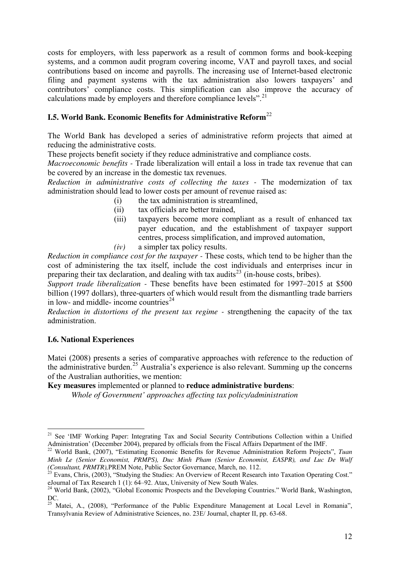costs for employers, with less paperwork as a result of common forms and book-keeping systems, and a common audit program covering income, VAT and payroll taxes, and social contributions based on income and payrolls. The increasing use of Internet-based electronic filing and payment systems with the tax administration also lowers taxpayers' and contributors' compliance costs. This simplification can also improve the accuracy of calculations made by employers and therefore compliance levels".<sup>21</sup>

# **I.5. World Bank. Economic Benefits for Administrative Reform**<sup>22</sup>

The World Bank has developed a series of administrative reform projects that aimed at reducing the administrative costs.

These projects benefit society if they reduce administrative and compliance costs.

*Macroeconomic benefits -* Trade liberalization will entail a loss in trade tax revenue that can be covered by an increase in the domestic tax revenues.

*Reduction in administrative costs of collecting the taxes -* The modernization of tax administration should lead to lower costs per amount of revenue raised as:

- (i) the tax administration is streamlined,
- (ii) tax officials are better trained,
- (iii) taxpayers become more compliant as a result of enhanced tax payer education, and the establishment of taxpayer support centres, process simplification, and improved automation,
- *(iv)* a simpler tax policy results.

*Reduction in compliance cost for the taxpayer -* These costs, which tend to be higher than the cost of administering the tax itself, include the cost individuals and enterprises incur in preparing their tax declaration, and dealing with tax audits<sup>23</sup> (in-house costs, bribes).

*Support trade liberalization -* These benefits have been estimated for 1997–2015 at \$500 billion (1997 dollars), three-quarters of which would result from the dismantling trade barriers in low- and middle- income countries $^{24}$ 

*Reduction in distortions of the present tax regime -* strengthening the capacity of the tax administration.

## **I.6. National Experiences**

-

Matei (2008) presents a series of comparative approaches with reference to the reduction of the administrative burden.<sup>25</sup> Australia's experience is also relevant. Summing up the concerns of the Australian authorities, we mention:

**Key measures** implemented or planned to **reduce administrative burdens**:

*Whole of Government' approaches affecting tax policy/administration* 

<sup>&</sup>lt;sup>21</sup> See 'IMF Working Paper: Integrating Tax and Social Security Contributions Collection within a Unified Administration' (December 2004), prepared by officials from the Fiscal Affairs Department of the IMF.

<sup>22</sup> World Bank, (2007), "Estimating Economic Benefits for Revenue Administration Reform Projects", *Tuan Minh Le (Senior Economist, PRMPS), Duc Minh Pham (Senior Economist, EASPR), and Luc De Wulf (Consultant, PRMTR),*PREM Note, Public Sector Governance, March, no. 112.

<sup>&</sup>lt;sup>23</sup> Evans, Chris, (2003), "Studying the Studies: An Overview of Recent Research into Taxation Operating Cost." eJournal of Tax Research 1 (1): 64–92. Atax, University of New South Wales.

<sup>&</sup>lt;sup>24</sup> World Bank, (2002), "Global Economic Prospects and the Developing Countries." World Bank, Washington, DC.

<sup>&</sup>lt;sup>25</sup> Matei, A., (2008), "Performance of the Public Expenditure Management at Local Level in Romania", Transylvania Review of Administrative Sciences, no. 23E/ Journal, chapter II, pp. 63-68.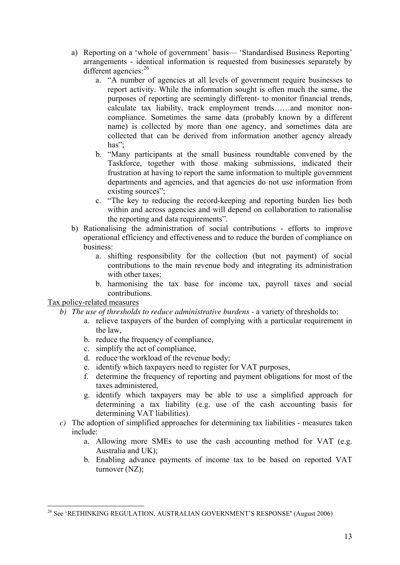- a) Reporting on a 'whole of government' basis— 'Standardised Business Reporting' arrangements - identical information is requested from businesses separately by different agencies:<sup>26</sup>
	- a. "A number of agencies at all levels of government require businesses to report activity. While the information sought is often much the same, the purposes of reporting are seemingly different- to monitor financial trends, calculate tax liability, track employment trends……and monitor noncompliance. Sometimes the same data (probably known by a different name) is collected by more than one agency, and sometimes data are collected that can be derived from information another agency already has" $\cdot$
	- b. "Many participants at the small business roundtable convened by the Taskforce, together with those making submissions, indicated their frustration at having to report the same information to multiple government departments and agencies, and that agencies do not use information from existing sources";
	- c. "The key to reducing the record-keeping and reporting burden lies both within and across agencies and will depend on collaboration to rationalise the reporting and data requirements".
- b) Rationalising the administration of social contributions efforts to improve operational efficiency and effectiveness and to reduce the burden of compliance on business:
	- a. shifting responsibility for the collection (but not payment) of social contributions to the main revenue body and integrating its administration with other taxes:
	- b. harmonising the tax base for income tax, payroll taxes and social contributions.

Tax policy-related measures

- *b) The use of thresholds to reduce administrative burdens* a variety of thresholds to:
	- a. relieve taxpayers of the burden of complying with a particular requirement in the law,
	- b. reduce the frequency of compliance,
	- c. simplify the act of compliance,
	- d. reduce the workload of the revenue body;
	- e. identify which taxpayers need to register for VAT purposes,
	- f. determine the frequency of reporting and payment obligations for most of the taxes administered,
	- g. identify which taxpayers may be able to use a simplified approach for determining a tax liability (e.g. use of the cash accounting basis for determining VAT liabilities).
- *c)* The adoption of simplified approaches for determining tax liabilities measures taken include:
	- a. Allowing more SMEs to use the cash accounting method for VAT (e.g. Australia and UK);
	- b. Enabling advance payments of income tax to be based on reported VAT turnover (NZ);

<sup>&</sup>lt;u>.</u> <sup>26</sup> See 'RETHINKING REGULATION, AUSTRALIAN GOVERNMENT'S RESPONSE**'** (August 2006)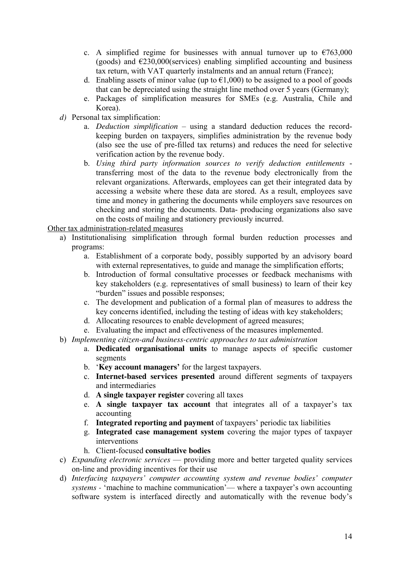- c. A simplified regime for businesses with annual turnover up to  $\epsilon$ 763,000 (goods) and  $\epsilon$ 230,000(services) enabling simplified accounting and business tax return, with VAT quarterly instalments and an annual return (France);
- d. Enabling assets of minor value (up to  $\epsilon$ 1,000) to be assigned to a pool of goods that can be depreciated using the straight line method over 5 years (Germany);
- e. Packages of simplification measures for SMEs (e.g. Australia, Chile and Korea).
- *d)* Personal tax simplification:
	- a. *Deduction simplification* using a standard deduction reduces the recordkeeping burden on taxpayers, simplifies administration by the revenue body (also see the use of pre-filled tax returns) and reduces the need for selective verification action by the revenue body.
	- b. *Using third party information sources to verify deduction entitlements* transferring most of the data to the revenue body electronically from the relevant organizations. Afterwards, employees can get their integrated data by accessing a website where these data are stored. As a result, employees save time and money in gathering the documents while employers save resources on checking and storing the documents. Data- producing organizations also save on the costs of mailing and stationery previously incurred.

Other tax administration-related measures

- a) Institutionalising simplification through formal burden reduction processes and programs:
	- a. Establishment of a corporate body, possibly supported by an advisory board with external representatives, to guide and manage the simplification efforts;
	- b. Introduction of formal consultative processes or feedback mechanisms with key stakeholders (e.g. representatives of small business) to learn of their key "burden" issues and possible responses;
	- c. The development and publication of a formal plan of measures to address the key concerns identified, including the testing of ideas with key stakeholders;
	- d. Allocating resources to enable development of agreed measures;
	- e. Evaluating the impact and effectiveness of the measures implemented.
- b) *Implementing citizen-and business-centric approaches to tax administration*
	- a. **Dedicated organisational units** to manage aspects of specific customer segments
	- b. '**Key account managers'** for the largest taxpayers.
	- c. **Internet-based services presented** around different segments of taxpayers and intermediaries
	- d. **A single taxpayer register** covering all taxes
	- e. **A single taxpayer tax account** that integrates all of a taxpayer's tax accounting
	- f. **Integrated reporting and payment** of taxpayers' periodic tax liabilities
	- g. **Integrated case management system** covering the major types of taxpayer interventions
	- h. Client-focused **consultative bodies**
- c) *Expanding electronic services*  providing more and better targeted quality services on-line and providing incentives for their use
- d) *Interfacing taxpayers' computer accounting system and revenue bodies' computer systems -* 'machine to machine communication'— where a taxpayer's own accounting software system is interfaced directly and automatically with the revenue body's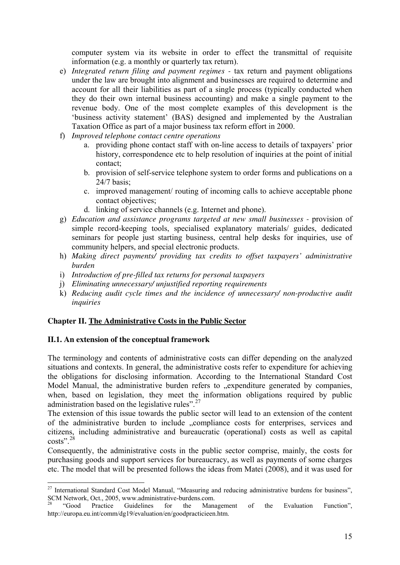computer system via its website in order to effect the transmittal of requisite information (e.g. a monthly or quarterly tax return).

- e) *Integrated return filing and payment regimes* tax return and payment obligations under the law are brought into alignment and businesses are required to determine and account for all their liabilities as part of a single process (typically conducted when they do their own internal business accounting) and make a single payment to the revenue body. One of the most complete examples of this development is the 'business activity statement' (BAS) designed and implemented by the Australian Taxation Office as part of a major business tax reform effort in 2000.
- f) *Improved telephone contact centre operations* 
	- a. providing phone contact staff with on-line access to details of taxpayers' prior history, correspondence etc to help resolution of inquiries at the point of initial contact;
	- b. provision of self-service telephone system to order forms and publications on a 24/7 basis;
	- c. improved management/ routing of incoming calls to achieve acceptable phone contact objectives;
	- d. linking of service channels (e.g. Internet and phone).
- g) *Education and assistance programs targeted at new small businesses* provision of simple record-keeping tools, specialised explanatory materials/ guides, dedicated seminars for people just starting business, central help desks for inquiries, use of community helpers, and special electronic products.
- h) *Making direct payments/ providing tax credits to offset taxpayers' administrative burden*
- i) *Introduction of pre-filled tax returns for personal taxpayers*
- j) *Eliminating unnecessary/ unjustified reporting requirements*
- k) *Reducing audit cycle times and the incidence of unnecessary/ non-productive audit inquiries*

## **Chapter II. The Administrative Costs in the Public Sector**

#### **II.1. An extension of the conceptual framework**

The terminology and contents of administrative costs can differ depending on the analyzed situations and contexts. In general, the administrative costs refer to expenditure for achieving the obligations for disclosing information. According to the International Standard Cost Model Manual, the administrative burden refers to ..expenditure generated by companies, when, based on legislation, they meet the information obligations required by public administration based on the legislative rules". $27$ 

The extension of this issue towards the public sector will lead to an extension of the content of the administrative burden to include "compliance costs for enterprises, services and citizens, including administrative and bureaucratic (operational) costs as well as capital costs". $28$ 

Consequently, the administrative costs in the public sector comprise, mainly, the costs for purchasing goods and support services for bureaucracy, as well as payments of some charges etc. The model that will be presented follows the ideas from Matei (2008), and it was used for

<sup>&</sup>lt;u>.</u> <sup>27</sup> International Standard Cost Model Manual, "Measuring and reducing administrative burdens for business", SCM Network, Oct., 2005, www.administrative-burdens.com.

<sup>28</sup> "Good Practice Guidelines for the Management of the Evaluation Function", http://europa.eu.int/comm/dg19/evaluation/en/goodpracticieen.htm.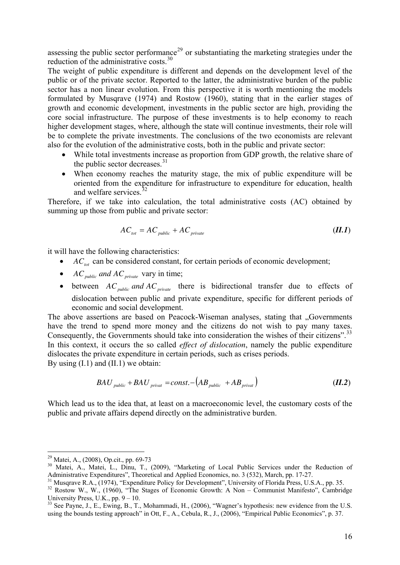assessing the public sector performance<sup>29</sup> or substantiating the marketing strategies under the reduction of the administrative costs.<sup>30</sup>

The weight of public expenditure is different and depends on the development level of the public or of the private sector. Reported to the latter, the administrative burden of the public sector has a non linear evolution. From this perspective it is worth mentioning the models formulated by Musqrave (1974) and Rostow (1960), stating that in the earlier stages of growth and economic development, investments in the public sector are high, providing the core social infrastructure. The purpose of these investments is to help economy to reach higher development stages, where, although the state will continue investments, their role will be to complete the private investments. The conclusions of the two economists are relevant also for the evolution of the administrative costs, both in the public and private sector:

- While total investments increase as proportion from GDP growth, the relative share of the public sector decreases.<sup>31</sup>
- When economy reaches the maturity stage, the mix of public expenditure will be oriented from the expenditure for infrastructure to expenditure for education, health and welfare services.<sup>3</sup>

Therefore, if we take into calculation, the total administrative costs (AC) obtained by summing up those from public and private sector:

$$
AC_{tot} = AC_{public} + AC_{private}
$$
 (II.1)

it will have the following characteristics:

- can be considered constant, for certain periods of economic development; *ACtot*
- *AC*<sub>public</sub> and *AC*<sub>private</sub> vary in time;
- between  $AC_{public}$  *and*  $AC_{private}$  there is bidirectional transfer due to effects of dislocation between public and private expenditure, specific for different periods of economic and social development.

The above assertions are based on Peacock-Wiseman analyses, stating that "Governments have the trend to spend more money and the citizens do not wish to pay many taxes. Consequently, the Governments should take into consideration the wishes of their citizens".<sup>33</sup> In this context, it occurs the so called *effect of dislocation*, namely the public expenditure dislocates the private expenditure in certain periods, such as crises periods. By using  $(I.1)$  and  $(II.1)$  we obtain:

$$
BAU_{\text{public}} + BAU_{\text{private}} = const. - \left(AB_{\text{public}} + AB_{\text{private}}\right) \tag{II.2}
$$

Which lead us to the idea that, at least on a macroeconomic level, the customary costs of the public and private affairs depend directly on the administrative burden.

-

<sup>&</sup>lt;sup>29</sup> Matei, A., (2008), Op.cit., pp. 69-73

<sup>&</sup>lt;sup>30</sup> Matei, A., Matei, L., Dinu, T., (2009), "Marketing of Local Public Services under the Reduction of Administrative Expenditures", Theoretical and Applied Economics, no. 3 (532), March, pp. 17-27.

<sup>&</sup>lt;sup>31</sup> Musqrave R.A., (1974), "Expenditure Policy for Development", University of Florida Press, U.S.A., pp. 35.

<sup>&</sup>lt;sup>32</sup> Rostow W., W., (1960), "The Stages of Economic Growth: A Non – Communist Manifesto", Cambridge University Press, U.K., pp.  $9 - 10$ .

<sup>&</sup>lt;sup>33</sup> See Payne, J., E., Ewing, B., T., Mohammadi, H., (2006), "Wagner's hypothesis: new evidence from the U.S. using the bounds testing approach" in Ott, F., A., Cebula, R., J., (2006), "Empirical Public Economics", p. 37.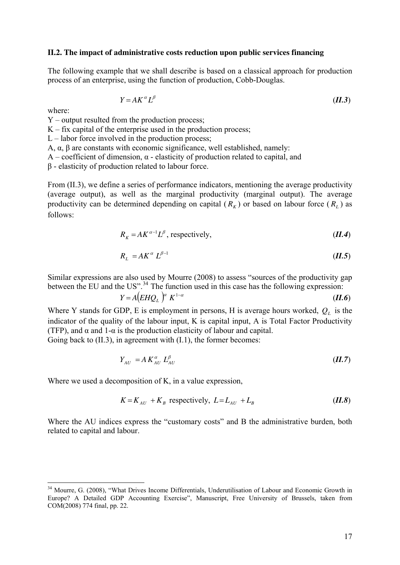#### **II.2. The impact of administrative costs reduction upon public services financing**

The following example that we shall describe is based on a classical approach for production process of an enterprise, using the function of production, Cobb-Douglas.

$$
Y = AK^{\alpha}L^{\beta} \tag{II.3}
$$

where:

<u>.</u>

Y – output resulted from the production process;

 $K$  – fix capital of the enterprise used in the production process;

 $L$  – labor force involved in the production process;

A, α, β are constants with economic significance, well established, namely:

A – coefficient of dimension, α - elasticity of production related to capital, and

β - elasticity of production related to labour force.

From (II.3), we define a series of performance indicators, mentioning the average productivity (average output), as well as the marginal productivity (marginal output). The average productivity can be determined depending on capital  $(R_K)$  or based on labour force  $(R_L)$  as follows:

$$
R_K = AK^{\alpha-1}L^{\beta}, respectively,
$$
 (II.4)

$$
R_L = AK^\alpha L^{\beta - 1} \tag{II.5}
$$

Similar expressions are also used by Mourre (2008) to assess "sources of the productivity gap between the EU and the US".<sup>34</sup> The function used in this case has the following expression:

$$
Y = A \left( EHQ_L \right)^{\alpha} K^{1-\alpha} \tag{II.6}
$$

Where Y stands for GDP, E is employment in persons, H is average hours worked,  $Q_L$  is the indicator of the quality of the labour input, K is capital input, A is Total Factor Productivity (TFP), and  $\alpha$  and 1- $\alpha$  is the production elasticity of labour and capital.

Going back to  $(II.3)$ , in agreement with  $(I.1)$ , the former becomes:

$$
Y_{AU} = A K_{AU}^{\alpha} L_{AU}^{\beta} \tag{II.7}
$$

Where we used a decomposition of K, in a value expression,

$$
K = K_{AU} + K_B
$$
 respectively,  $L = L_{AU} + L_B$  (II.8)

Where the AU indices express the "customary costs" and B the administrative burden, both related to capital and labour.

<sup>&</sup>lt;sup>34</sup> Mourre, G. (2008), "What Drives Income Differentials, Underutilisation of Labour and Economic Growth in Europe? A Detailed GDP Accounting Exercise", Manuscript, Free University of Brussels, taken from COM(2008) 774 final, pp. 22.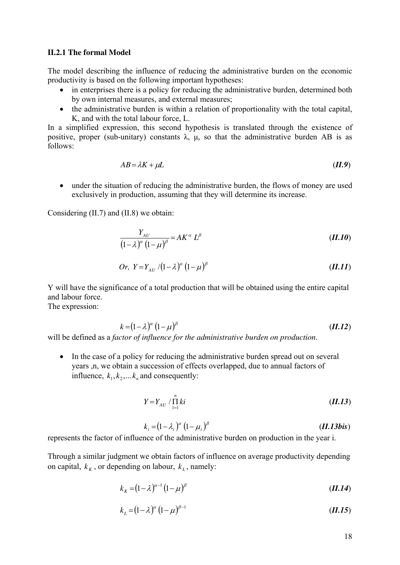#### **II.2.1 The formal Model**

The model describing the influence of reducing the administrative burden on the economic productivity is based on the following important hypotheses:

- in enterprises there is a policy for reducing the administrative burden, determined both by own internal measures, and external measures;
- the administrative burden is within a relation of proportionality with the total capital, K, and with the total labour force, L.

In a simplified expression, this second hypothesis is translated through the existence of positive, proper (sub-unitary) constants  $\lambda$ ,  $\mu$ , so that the administrative burden AB is as follows:

$$
AB = \lambda K + \mu L \tag{II.9}
$$

• under the situation of reducing the administrative burden, the flows of money are used exclusively in production, assuming that they will determine its increase.

Considering (II.7) and (II.8) we obtain:

$$
\frac{Y_{AU}}{\left(1-\lambda\right)^{\alpha}\left(1-\mu\right)^{\beta}}=AK^{\alpha}L^{\beta}
$$
\n(II.10)

Or, 
$$
Y = Y_{AU} / (1 - \lambda)^{\alpha} (1 - \mu)^{\beta}
$$
 (II.11)

Y will have the significance of a total production that will be obtained using the entire capital and labour force.

The expression:

$$
k = (1 - \lambda)^{\alpha} (1 - \mu)^{\beta}
$$
 (II.12)

will be defined as a *factor of influence for the administrative burden on production*.

• In the case of a policy for reducing the administrative burden spread out on several years ,n, we obtain a succession of effects overlapped, due to annual factors of influence,  $k_1, k_2, \ldots, k_n$  and consequently:

$$
Y = Y_{AU} / \prod_{l=1}^{n} ki
$$
 (II.13)

$$
k_i = (1 - \lambda_i)^{\alpha} (1 - \mu_i)^{\beta}
$$
 (II.13bis)

represents the factor of influence of the administrative burden on production in the year i.

Through a similar judgment we obtain factors of influence on average productivity depending on capital,  $k_K$ , or depending on labour,  $k_L$ , namely:

$$
k_K = (1 - \lambda)^{\alpha - 1} (1 - \mu)^{\beta} \tag{II.14}
$$

$$
k_L = (1 - \lambda)^{\alpha} (1 - \mu)^{\beta - 1}
$$
 (II.15)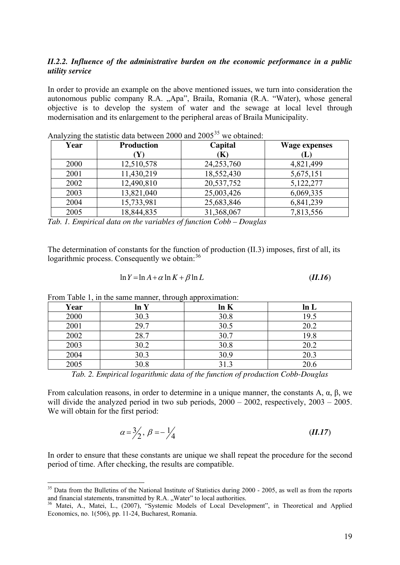#### *II.2.2. Influence of the administrative burden on the economic performance in a public utility service*

In order to provide an example on the above mentioned issues, we turn into consideration the autonomous public company R.A. "Apa", Braila, Romania (R.A. "Water), whose general objective is to develop the system of water and the sewage at local level through modernisation and its enlargement to the peripheral areas of Braila Municipality.

| Year | <b>Production</b> | Capital    | <b>Wage expenses</b> |  |  |
|------|-------------------|------------|----------------------|--|--|
|      |                   | (K)        | (L)                  |  |  |
| 2000 | 12,510,578        | 24,253,760 | 4,821,499            |  |  |
| 2001 | 11,430,219        | 18,552,430 | 5,675,151            |  |  |
| 2002 | 12,490,810        | 20,537,752 | 5,122,277            |  |  |
| 2003 | 13,821,040        | 25,003,426 | 6,069,335            |  |  |
| 2004 | 15,733,981        | 25,683,846 | 6,841,239            |  |  |
| 2005 | 18,844,835        | 31,368,067 | 7,813,556            |  |  |

Analyzing the statistic data between 2000 and  $2005^{35}$  we obtained:

*Tab. 1. Empirical data on the variables of function Cobb – Douglas* 

The determination of constants for the function of production (II.3) imposes, first of all, its logarithmic process. Consequently we obtain:  $36$ 

$$
\ln Y = \ln A + \alpha \ln K + \beta \ln L \tag{II.16}
$$

From Table 1, in the same manner, through approximation:

<u>.</u>

| ັ    |      |      |
|------|------|------|
| ln Y | ln K | ln L |
| 30.3 | 30.8 | 19.5 |
| 29.7 | 30.5 | 20.2 |
| 28.7 | 30.7 | 19.8 |
| 30.2 | 30.8 | 20.2 |
| 30.3 | 30.9 | 20.3 |
| 30.8 | 31.3 | 20.6 |
|      |      |      |

*Tab. 2. Empirical logarithmic data of the function of production Cobb-Douglas* 

From calculation reasons, in order to determine in a unique manner, the constants A, α, β, we will divide the analyzed period in two sub periods,  $2000 - 2002$ , respectively,  $2003 - 2005$ . We will obtain for the first period:

$$
\alpha = \frac{3}{2}, \ \beta = -\frac{1}{4} \tag{II.17}
$$

In order to ensure that these constants are unique we shall repeat the procedure for the second period of time. After checking, the results are compatible.

<sup>&</sup>lt;sup>35</sup> Data from the Bulletins of the National Institute of Statistics during 2000 - 2005, as well as from the reports and financial statements, transmitted by R.A. "Water" to local authorities.

<sup>&</sup>lt;sup>36</sup> Matei, A., Matei, L., (2007), "Systemic Models of Local Development", in Theoretical and Applied Economics, no. 1(506), pp. 11-24, Bucharest, Romania.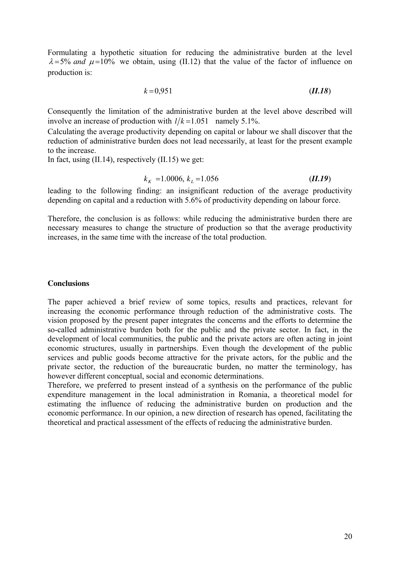Formulating a hypothetic situation for reducing the administrative burden at the level  $\lambda = 5\%$  *and*  $\mu = 10\%$  we obtain, using (II.12) that the value of the factor of influence on production is:

$$
k=0.951 \tag{II.18}
$$

Consequently the limitation of the administrative burden at the level above described will involve an increase of production with  $1/k = 1.051$  namely 5.1%.

Calculating the average productivity depending on capital or labour we shall discover that the reduction of administrative burden does not lead necessarily, at least for the present example to the increase.

In fact, using  $(II.14)$ , respectively  $(II.15)$  we get:

$$
k_{K} = 1.0006, k_{L} = 1.056 \tag{II.19}
$$

leading to the following finding: an insignificant reduction of the average productivity depending on capital and a reduction with 5.6% of productivity depending on labour force.

Therefore, the conclusion is as follows: while reducing the administrative burden there are necessary measures to change the structure of production so that the average productivity increases, in the same time with the increase of the total production.

#### **Conclusions**

The paper achieved a brief review of some topics, results and practices, relevant for increasing the economic performance through reduction of the administrative costs. The vision proposed by the present paper integrates the concerns and the efforts to determine the so-called administrative burden both for the public and the private sector. In fact, in the development of local communities, the public and the private actors are often acting in joint economic structures, usually in partnerships. Even though the development of the public services and public goods become attractive for the private actors, for the public and the private sector, the reduction of the bureaucratic burden, no matter the terminology, has however different conceptual, social and economic determinations.

Therefore, we preferred to present instead of a synthesis on the performance of the public expenditure management in the local administration in Romania, a theoretical model for estimating the influence of reducing the administrative burden on production and the economic performance. In our opinion, a new direction of research has opened, facilitating the theoretical and practical assessment of the effects of reducing the administrative burden.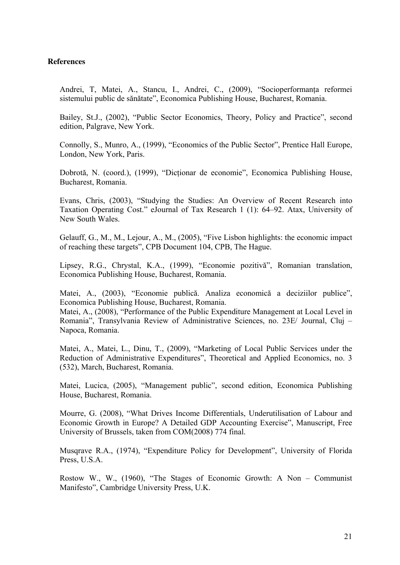#### **References**

Andrei, T, Matei, A., Stancu, I., Andrei, C., (2009), "Socioperformanţa reformei sistemului public de sănătate", Economica Publishing House, Bucharest, Romania.

Bailey, St.J., (2002), "Public Sector Economics, Theory, Policy and Practice", second edition, Palgrave, New York.

Connolly, S., Munro, A., (1999), "Economics of the Public Sector", Prentice Hall Europe, London, New York, Paris.

Dobrotă, N. (coord.), (1999), "Dicţionar de economie", Economica Publishing House, Bucharest, Romania.

Evans, Chris, (2003), "Studying the Studies: An Overview of Recent Research into Taxation Operating Cost." eJournal of Tax Research 1 (1): 64–92. Atax, University of New South Wales.

Gelauff, G., M., M., Lejour, A., M., (2005), "Five Lisbon highlights: the economic impact of reaching these targets", CPB Document 104, CPB, The Hague.

Lipsey, R.G., Chrystal, K.A., (1999), "Economie pozitivă", Romanian translation, Economica Publishing House, Bucharest, Romania.

Matei, A., (2003), "Economie publică. Analiza economică a deciziilor publice", Economica Publishing House, Bucharest, Romania.

Matei, A., (2008), "Performance of the Public Expenditure Management at Local Level in Romania", Transylvania Review of Administrative Sciences, no. 23E/ Journal, Cluj – Napoca, Romania.

Matei, A., Matei, L., Dinu, T., (2009), "Marketing of Local Public Services under the Reduction of Administrative Expenditures", Theoretical and Applied Economics, no. 3 (532), March, Bucharest, Romania.

Matei, Lucica, (2005), "Management public", second edition, Economica Publishing House, Bucharest, Romania.

Mourre, G. (2008), "What Drives Income Differentials, Underutilisation of Labour and Economic Growth in Europe? A Detailed GDP Accounting Exercise", Manuscript, Free University of Brussels, taken from COM(2008) 774 final.

Musqrave R.A., (1974), "Expenditure Policy for Development", University of Florida Press, U.S.A.

Rostow W., W., (1960), "The Stages of Economic Growth: A Non – Communist Manifesto", Cambridge University Press, U.K.